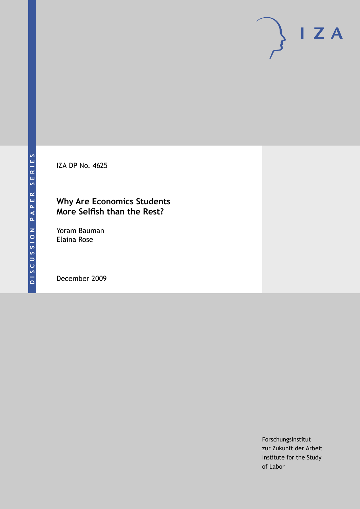IZA DP No. 4625

### **Why Are Economics Students More Selfish than the Rest?**

Yoram Bauman Elaina Rose

December 2009

Forschungsinstitut zur Zukunft der Arbeit Institute for the Study of Labor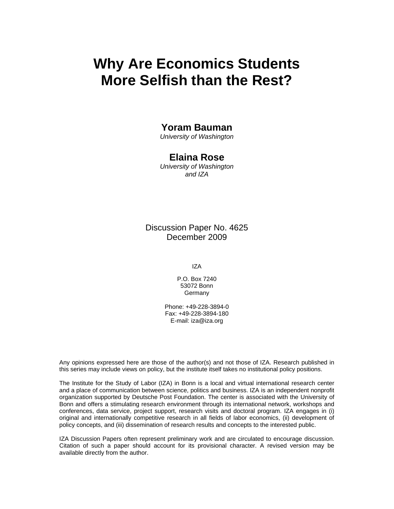# **Why Are Economics Students More Selfish than the Rest?**

### **Yoram Bauman**

*University of Washington* 

### **Elaina Rose**

*University of Washington and IZA* 

Discussion Paper No. 4625 December 2009

IZA

P.O. Box 7240 53072 Bonn **Germany** 

Phone: +49-228-3894-0 Fax: +49-228-3894-180 E-mail: iza@iza.org

Any opinions expressed here are those of the author(s) and not those of IZA. Research published in this series may include views on policy, but the institute itself takes no institutional policy positions.

The Institute for the Study of Labor (IZA) in Bonn is a local and virtual international research center and a place of communication between science, politics and business. IZA is an independent nonprofit organization supported by Deutsche Post Foundation. The center is associated with the University of Bonn and offers a stimulating research environment through its international network, workshops and conferences, data service, project support, research visits and doctoral program. IZA engages in (i) original and internationally competitive research in all fields of labor economics, (ii) development of policy concepts, and (iii) dissemination of research results and concepts to the interested public.

IZA Discussion Papers often represent preliminary work and are circulated to encourage discussion. Citation of such a paper should account for its provisional character. A revised version may be available directly from the author.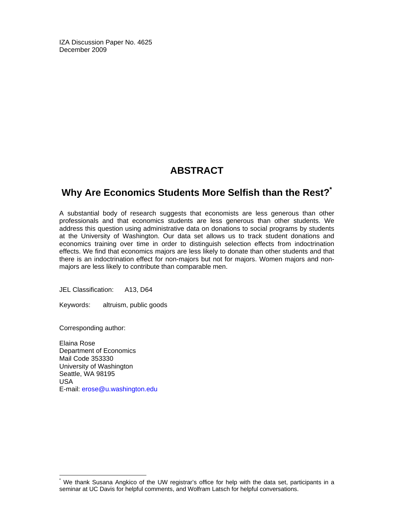IZA Discussion Paper No. 4625 December 2009

## **ABSTRACT**

## **Why Are Economics Students More Selfish than the Rest?\***

A substantial body of research suggests that economists are less generous than other professionals and that economics students are less generous than other students. We address this question using administrative data on donations to social programs by students at the University of Washington. Our data set allows us to track student donations and economics training over time in order to distinguish selection effects from indoctrination effects. We find that economics majors are less likely to donate than other students and that there is an indoctrination effect for non-majors but not for majors. Women majors and nonmajors are less likely to contribute than comparable men.

JEL Classification: A13, D64

Keywords: altruism, public goods

Corresponding author:

-

Elaina Rose Department of Economics Mail Code 353330 University of Washington Seattle, WA 98195 USA E-mail: erose@u.washington.edu

<sup>\*</sup> We thank Susana Angkico of the UW registrar's office for help with the data set, participants in a seminar at UC Davis for helpful comments, and Wolfram Latsch for helpful conversations.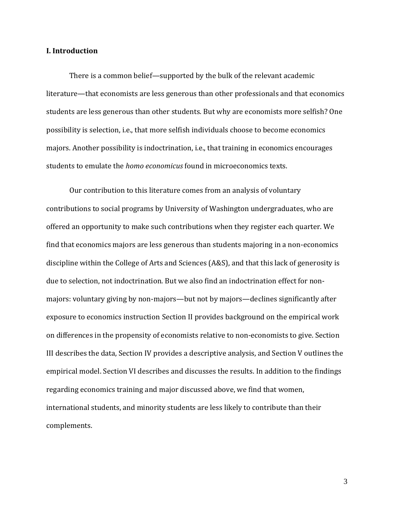### **I. Introduction**

There is a common belief—supported by the bulk of the relevant academic literature—that economists are less generous than other professionals and that economics students are less generous than other students. But why are economists more selfish? One possibility is selection, i.e., that more selfish individuals choose to become economics majors. Another possibility is indoctrination, i.e., that training in economics encourages students to emulate the *homo economicus* found in microeconomics texts.

Our contribution to this literature comes from an analysis of voluntary contributions to social programs by University of Washington undergraduates, who are offered an opportunity to make such contributions when they register each quarter. We find that economics majors are less generous than students majoring in a non-economics discipline within the College of Arts and Sciences (A&S), and that this lack of generosity is due to selection, not indoctrination. But we also find an indoctrination effect for nonmajors: voluntary giving by non-majors—but not by majors—declines significantly after exposure to economics instruction Section II provides background on the empirical work on differences in the propensity of economists relative to non-economists to give. Section III describes the data, Section IV provides a descriptive analysis, and Section V outlines the empirical model. Section VI describes and discusses the results. In addition to the findings regarding economics training and major discussed above, we find that women, international students, and minority students are less likely to contribute than their complements.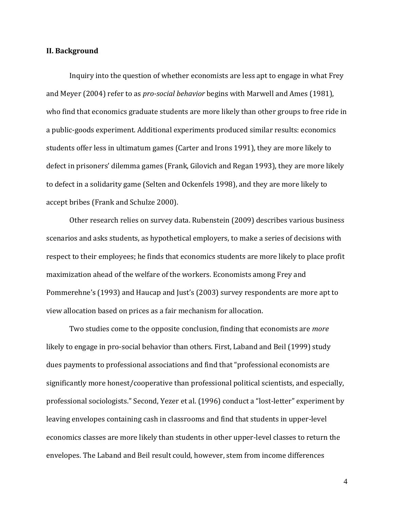#### **II. Background**

Inquiry into the question of whether economists are less apt to engage in what Frey and Meyer (2004) refer to as *pro-social behavior* begins with Marwell and Ames (1981), who find that economics graduate students are more likely than other groups to free ride in a public-goods experiment. Additional experiments produced similar results: economics students offer less in ultimatum games (Carter and Irons 1991), they are more likely to defect in prisoners' dilemma games (Frank, Gilovich and Regan 1993), they are more likely to defect in a solidarity game (Selten and Ockenfels 1998), and they are more likely to accept bribes (Frank and Schulze 2000).

Other research relies on survey data. Rubenstein (2009) describes various business scenarios and asks students, as hypothetical employers, to make a series of decisions with respect to their employees; he finds that economics students are more likely to place profit maximization ahead of the welfare of the workers. Economists among Frey and Pommerehne's (1993) and Haucap and Just's (2003) survey respondents are more apt to view allocation based on prices as a fair mechanism for allocation.

Two studies come to the opposite conclusion, finding that economists are *more* likely to engage in pro-social behavior than others. First, Laband and Beil (1999) study dues payments to professional associations and find that "professional economists are significantly more honest/cooperative than professional political scientists, and especially, professional sociologists." Second, Yezer et al. (1996) conduct a "lost-letter" experiment by leaving envelopes containing cash in classrooms and find that students in upper-level economics classes are more likely than students in other upper-level classes to return the envelopes. The Laband and Beil result could, however, stem from income differences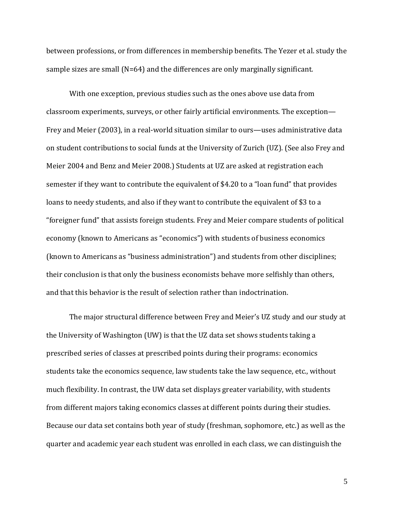between professions, or from differences in membership benefits. The Yezer et al. study the sample sizes are small (N=64) and the differences are only marginally significant.

With one exception, previous studies such as the ones above use data from classroom experiments, surveys, or other fairly artificial environments. The exception— Frey and Meier (2003), in a real-world situation similar to ours—uses administrative data on student contributions to social funds at the University of Zurich (UZ). (See also Frey and Meier 2004 and Benz and Meier 2008.) Students at UZ are asked at registration each semester if they want to contribute the equivalent of \$4.20 to a "loan fund" that provides loans to needy students, and also if they want to contribute the equivalent of \$3 to a "foreigner fund" that assists foreign students. Frey and Meier compare students of political economy (known to Americans as "economics") with students of business economics (known to Americans as "business administration") and students from other disciplines; their conclusion is that only the business economists behave more selfishly than others, and that this behavior is the result of selection rather than indoctrination.

The major structural difference between Frey and Meier's UZ study and our study at the University of Washington (UW) is that the UZ data set shows students taking a prescribed series of classes at prescribed points during their programs: economics students take the economics sequence, law students take the law sequence, etc., without much flexibility. In contrast, the UW data set displays greater variability, with students from different majors taking economics classes at different points during their studies. Because our data set contains both year of study (freshman, sophomore, etc.) as well as the quarter and academic year each student was enrolled in each class, we can distinguish the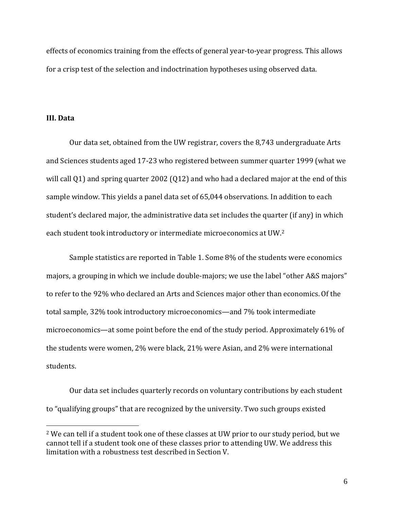effects of economics training from the effects of general year-to-year progress. This allows for a crisp test of the selection and indoctrination hypotheses using observed data.

### **III. Data**

 $\overline{a}$ 

Our data set, obtained from the UW registrar, covers the 8,743 undergraduate Arts and Sciences students aged 17-23 who registered between summer quarter 1999 (what we will call Q1) and spring quarter 2002 (Q12) and who had a declared major at the end of this sample window. This yields a panel data set of 65,044 observations. In addition to each student's declared major, the administrative data set includes the quarter (if any) in which each student took introductory or intermediate microeconomics at UW.<sup>2</sup>

Sample statistics are reported in Table 1. Some 8% of the students were economics majors, a grouping in which we include double-majors; we use the label "other A&S majors" to refer to the 92% who declared an Arts and Sciences major other than economics.Of the total sample, 32% took introductory microeconomics—and 7% took intermediate microeconomics—at some point before the end of the study period. Approximately 61% of the students were women, 2% were black, 21% were Asian, and 2% were international students.

Our data set includes quarterly records on voluntary contributions by each student to "qualifying groups" that are recognized by the university. Two such groups existed

<sup>2</sup> We can tell if a student took one of these classes at UW prior to our study period, but we cannot tell if a student took one of these classes prior to attending UW. We address this limitation with a robustness test described in Section V.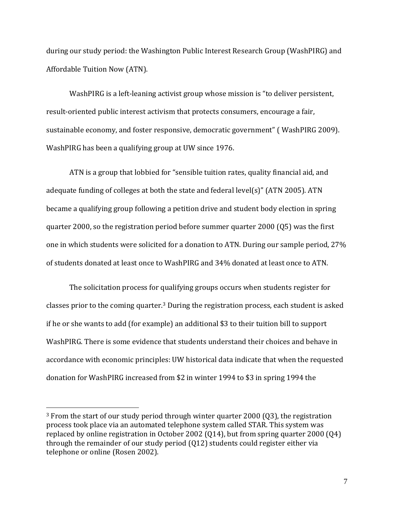during our study period: the Washington Public Interest Research Group (WashPIRG) and Affordable Tuition Now (ATN).

WashPIRG is a left-leaning activist group whose mission is "to deliver persistent, result-oriented public interest activism that protects consumers, encourage a fair, sustainable economy, and foster responsive, democratic government" ( WashPIRG 2009). WashPIRG has been a qualifying group at UW since 1976.

ATN is a group that lobbied for "sensible tuition rates, quality financial aid, and adequate funding of colleges at both the state and federal level(s)" (ATN 2005). ATN became a qualifying group following a petition drive and student body election in spring quarter 2000, so the registration period before summer quarter 2000 (Q5) was the first one in which students were solicited for a donation to ATN. During our sample period, 27% of students donated at least once to WashPIRG and 34% donated at least once to ATN.

The solicitation process for qualifying groups occurs when students register for classes prior to the coming quarter.<sup>3</sup> During the registration process, each student is asked if he or she wants to add (for example) an additional \$3 to their tuition bill to support WashPIRG. There is some evidence that students understand their choices and behave in accordance with economic principles: UW historical data indicate that when the requested donation for WashPIRG increased from \$2 in winter 1994 to \$3 in spring 1994 the

l

<sup>&</sup>lt;sup>3</sup> From the start of our study period through winter quarter 2000 (Q3), the registration process took place via an automated telephone system called STAR. This system was replaced by online registration in October 2002 (Q14), but from spring quarter 2000 (Q4) through the remainder of our study period (Q12) students could register either via telephone or online (Rosen 2002).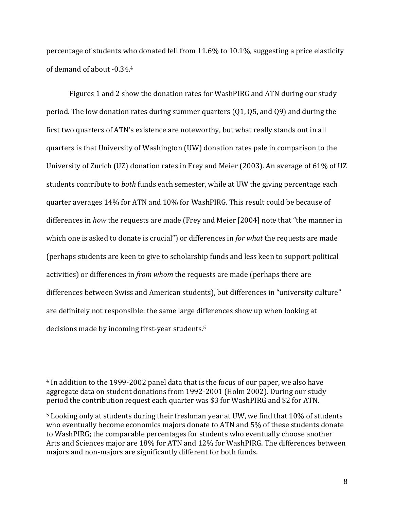percentage of students who donated fell from 11.6% to 10.1%, suggesting a price elasticity of demand of about -0.34.<sup>4</sup>

Figures 1 and 2 show the donation rates for WashPIRG and ATN during our study period. The low donation rates during summer quarters (Q1, Q5, and Q9) and during the first two quarters of ATN's existence are noteworthy, but what really stands out in all quarters is that University of Washington (UW) donation rates pale in comparison to the University of Zurich (UZ) donation rates in Frey and Meier (2003). An average of 61% of UZ students contribute to *both* funds each semester, while at UW the giving percentage each quarter averages 14% for ATN and 10% for WashPIRG. This result could be because of differences in *how* the requests are made (Frey and Meier [2004] note that "the manner in which one is asked to donate is crucial") or differences in *for what* the requests are made (perhaps students are keen to give to scholarship funds and less keen to support political activities) or differences in *from whom* the requests are made (perhaps there are differences between Swiss and American students), but differences in "university culture" are definitely not responsible: the same large differences show up when looking at decisions made by incoming first-year students.<sup>5</sup>

 $\overline{a}$ 

<sup>4</sup> In addition to the 1999-2002 panel data that is the focus of our paper, we also have aggregate data on student donations from 1992-2001 (Holm 2002). During our study period the contribution request each quarter was \$3 for WashPIRG and \$2 for ATN.

<sup>5</sup> Looking only at students during their freshman year at UW, we find that 10% of students who eventually become economics majors donate to ATN and 5% of these students donate to WashPIRG; the comparable percentages for students who eventually choose another Arts and Sciences major are 18% for ATN and 12% for WashPIRG. The differences between majors and non-majors are significantly different for both funds.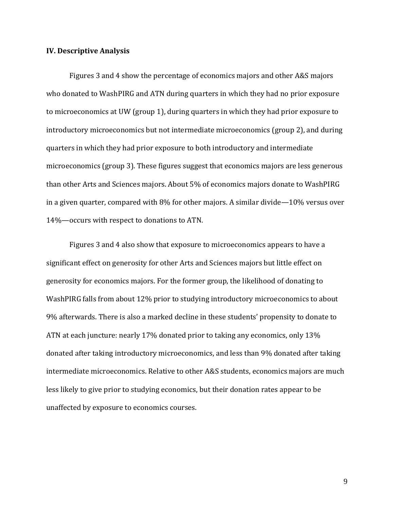#### **IV. Descriptive Analysis**

Figures 3 and 4 show the percentage of economics majors and other A&S majors who donated to WashPIRG and ATN during quarters in which they had no prior exposure to microeconomics at UW (group 1), during quarters in which they had prior exposure to introductory microeconomics but not intermediate microeconomics (group 2), and during quarters in which they had prior exposure to both introductory and intermediate microeconomics (group 3). These figures suggest that economics majors are less generous than other Arts and Sciences majors. About 5% of economics majors donate to WashPIRG in a given quarter, compared with 8% for other majors. A similar divide—10% versus over 14%—occurs with respect to donations to ATN.

Figures 3 and 4 also show that exposure to microeconomics appears to have a significant effect on generosity for other Arts and Sciences majors but little effect on generosity for economics majors. For the former group, the likelihood of donating to WashPIRG falls from about 12% prior to studying introductory microeconomics to about 9% afterwards. There is also a marked decline in these students' propensity to donate to ATN at each juncture: nearly 17% donated prior to taking any economics, only 13% donated after taking introductory microeconomics, and less than 9% donated after taking intermediate microeconomics. Relative to other A&S students, economics majors are much less likely to give prior to studying economics, but their donation rates appear to be unaffected by exposure to economics courses.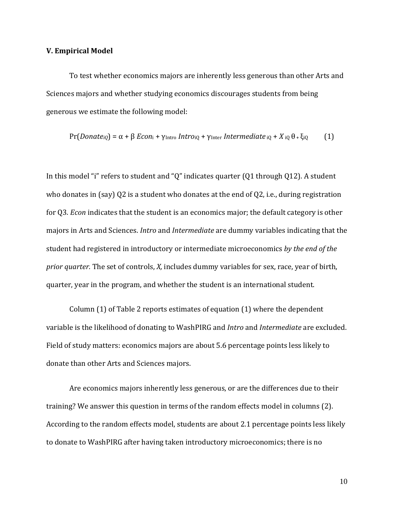#### **V. Empirical Model**

To test whether economics majors are inherently less generous than other Arts and Sciences majors and whether studying economics discourages students from being generous we estimate the following model:

$$
Pr(Donate_{iQ}) = \alpha + \beta Econ_i + \gamma_{Intro} \text{Intro}_{iQ} + \gamma_{Inter} \text{ Intermediate}_{iQ} + X_{iQ} \theta + \xi_{iQ} \tag{1}
$$

In this model "i" refers to student and "Q" indicates quarter (Q1 through Q12)*.* A student who donates in (say) Q2 is a student who donates at the end of Q2, i.e., during registration for Q3. *Econ* indicates that the student is an economics major; the default category is other majors in Arts and Sciences. *Intro* and *Intermediate* are dummy variables indicating that the student had registered in introductory or intermediate microeconomics *by the end of the prior quarter.* The set of controls, *X,* includes dummy variables for sex, race, year of birth, quarter, year in the program, and whether the student is an international student.

Column (1) of Table 2 reports estimates of equation (1) where the dependent variable is the likelihood of donating to WashPIRG and *Intro* and *Intermediate* are excluded. Field of study matters: economics majors are about 5.6 percentage points less likely to donate than other Arts and Sciences majors.

Are economics majors inherently less generous, or are the differences due to their training? We answer this question in terms of the random effects model in columns (2). According to the random effects model, students are about 2.1 percentage points less likely to donate to WashPIRG after having taken introductory microeconomics; there is no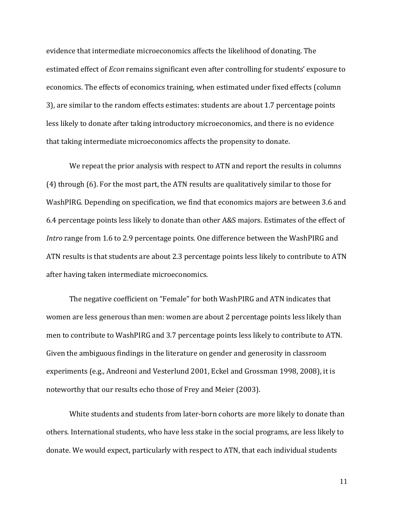evidence that intermediate microeconomics affects the likelihood of donating. The estimated effect of *Econ* remains significant even after controlling for students' exposure to economics. The effects of economics training, when estimated under fixed effects (column 3), are similar to the random effects estimates: students are about 1.7 percentage points less likely to donate after taking introductory microeconomics, and there is no evidence that taking intermediate microeconomics affects the propensity to donate.

We repeat the prior analysis with respect to ATN and report the results in columns (4) through (6). For the most part, the ATN results are qualitatively similar to those for WashPIRG. Depending on specification, we find that economics majors are between 3.6 and 6.4 percentage points less likely to donate than other A&S majors. Estimates of the effect of *Intro* range from 1.6 to 2.9 percentage points. One difference between the WashPIRG and ATN results is that students are about 2.3 percentage points less likely to contribute to ATN after having taken intermediate microeconomics.

The negative coefficient on "Female" for both WashPIRG and ATN indicates that women are less generous than men: women are about 2 percentage points less likely than men to contribute to WashPIRG and 3.7 percentage points less likely to contribute to ATN. Given the ambiguous findings in the literature on gender and generosity in classroom experiments (e.g., Andreoni and Vesterlund 2001, Eckel and Grossman 1998, 2008), it is noteworthy that our results echo those of Frey and Meier (2003).

White students and students from later-born cohorts are more likely to donate than others. International students, who have less stake in the social programs, are less likely to donate. We would expect, particularly with respect to ATN, that each individual students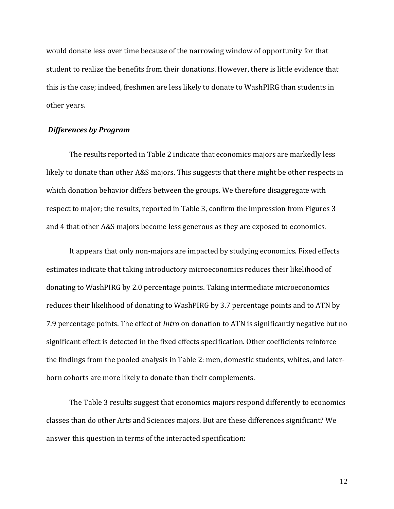would donate less over time because of the narrowing window of opportunity for that student to realize the benefits from their donations. However, there is little evidence that this is the case; indeed, freshmen are less likely to donate to WashPIRG than students in other years.

#### *Differences by Program*

The results reported in Table 2 indicate that economics majors are markedly less likely to donate than other A&S majors. This suggests that there might be other respects in which donation behavior differs between the groups. We therefore disaggregate with respect to major; the results, reported in Table 3, confirm the impression from Figures 3 and 4 that other A&S majors become less generous as they are exposed to economics.

It appears that only non-majors are impacted by studying economics. Fixed effects estimates indicate that taking introductory microeconomics reduces their likelihood of donating to WashPIRG by 2.0 percentage points. Taking intermediate microeconomics reduces their likelihood of donating to WashPIRG by 3.7 percentage points and to ATN by 7.9 percentage points. The effect of *Intro* on donation to ATN is significantly negative but no significant effect is detected in the fixed effects specification. Other coefficients reinforce the findings from the pooled analysis in Table 2: men, domestic students, whites, and laterborn cohorts are more likely to donate than their complements.

The Table 3 results suggest that economics majors respond differently to economics classes than do other Arts and Sciences majors. But are these differences significant? We answer this question in terms of the interacted specification: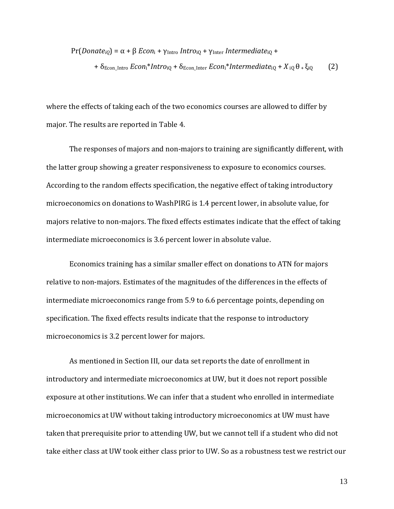Pr(*Donate<sub>iQ</sub>*) = α + β *Econ*<sub>i</sub> + γ<sub>Intro</sub> *Intro*<sub>iQ</sub> + γ<sub>Inter</sub> *Intermediate*<sub>iQ</sub> + +  $\delta$ <sub>Econ\_Intro</sub> *Econ*<sub>i</sub>\**Intro*<sub>iQ</sub> +  $\delta$ <sub>Econ\_Inter *Econ*<sub>i</sub>\**Intermediate*<sub>iQ</sub> +  $X$ <sub>iQ</sub>  $\theta$  +  $\xi$ <sub>iQ</sub> (2)</sub>

where the effects of taking each of the two economics courses are allowed to differ by major. The results are reported in Table 4.

The responses of majors and non-majors to training are significantly different, with the latter group showing a greater responsiveness to exposure to economics courses. According to the random effects specification, the negative effect of taking introductory microeconomics on donations to WashPIRG is 1.4 percent lower, in absolute value, for majors relative to non-majors. The fixed effects estimates indicate that the effect of taking intermediate microeconomics is 3.6 percent lower in absolute value.

Economics training has a similar smaller effect on donations to ATN for majors relative to non-majors. Estimates of the magnitudes of the differences in the effects of intermediate microeconomics range from 5.9 to 6.6 percentage points, depending on specification. The fixed effects results indicate that the response to introductory microeconomics is 3.2 percent lower for majors.

As mentioned in Section III, our data set reports the date of enrollment in introductory and intermediate microeconomics at UW, but it does not report possible exposure at other institutions. We can infer that a student who enrolled in intermediate microeconomics at UW without taking introductory microeconomics at UW must have taken that prerequisite prior to attending UW, but we cannot tell if a student who did not take either class at UW took either class prior to UW. So as a robustness test we restrict our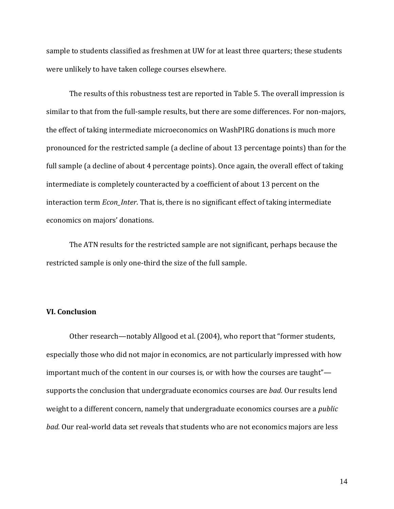sample to students classified as freshmen at UW for at least three quarters; these students were unlikely to have taken college courses elsewhere.

The results of this robustness test are reported in Table 5. The overall impression is similar to that from the full-sample results, but there are some differences. For non-majors, the effect of taking intermediate microeconomics on WashPIRG donations is much more pronounced for the restricted sample (a decline of about 13 percentage points) than for the full sample (a decline of about 4 percentage points). Once again, the overall effect of taking intermediate is completely counteracted by a coefficient of about 13 percent on the interaction term *Econ\_Inter*. That is, there is no significant effect of taking intermediate economics on majors' donations.

The ATN results for the restricted sample are not significant, perhaps because the restricted sample is only one-third the size of the full sample.

### **VI. Conclusion**

Other research—notably Allgood et al. (2004), who report that "former students, especially those who did not major in economics, are not particularly impressed with how important much of the content in our courses is, or with how the courses are taught" supports the conclusion that undergraduate economics courses are *bad.* Our results lend weight to a different concern, namely that undergraduate economics courses are a *public bad.* Our real-world data set reveals that students who are not economics majors are less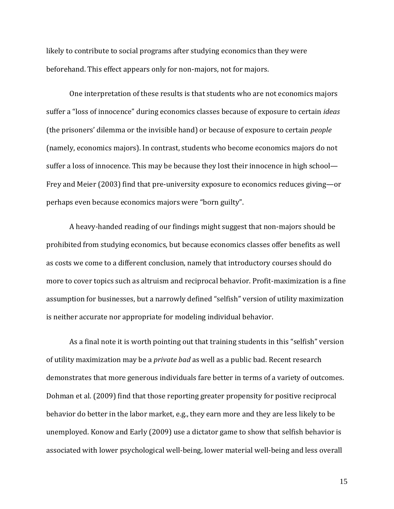likely to contribute to social programs after studying economics than they were beforehand. This effect appears only for non-majors, not for majors.

One interpretation of these results is that students who are not economics majors suffer a "loss of innocence" during economics classes because of exposure to certain *ideas* (the prisoners' dilemma or the invisible hand) or because of exposure to certain *people* (namely, economics majors). In contrast, students who become economics majors do not suffer a loss of innocence. This may be because they lost their innocence in high school— Frey and Meier (2003) find that pre-university exposure to economics reduces giving—or perhaps even because economics majors were "born guilty".

A heavy-handed reading of our findings might suggest that non-majors should be prohibited from studying economics, but because economics classes offer benefits as well as costs we come to a different conclusion, namely that introductory courses should do more to cover topics such as altruism and reciprocal behavior. Profit-maximization is a fine assumption for businesses, but a narrowly defined "selfish" version of utility maximization is neither accurate nor appropriate for modeling individual behavior.

As a final note it is worth pointing out that training students in this "selfish" version of utility maximization may be a *private bad* as well as a public bad. Recent research demonstrates that more generous individuals fare better in terms of a variety of outcomes. Dohman et al. (2009) find that those reporting greater propensity for positive reciprocal behavior do better in the labor market, e.g., they earn more and they are less likely to be unemployed. Konow and Early (2009) use a dictator game to show that selfish behavior is associated with lower psychological well-being, lower material well-being and less overall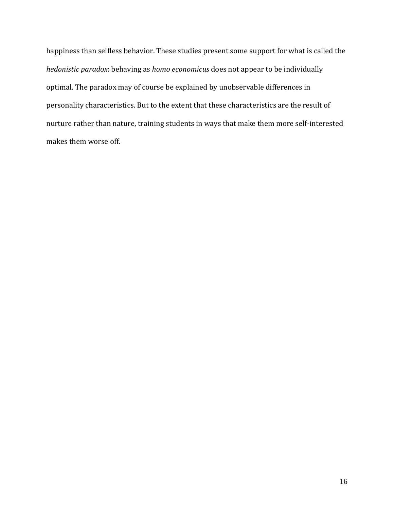happiness than selfless behavior. These studies present some support for what is called the *hedonistic paradox*: behaving as *homo economicus* does not appear to be individually optimal. The paradox may of course be explained by unobservable differences in personality characteristics. But to the extent that these characteristics are the result of nurture rather than nature, training students in ways that make them more self-interested makes them worse off.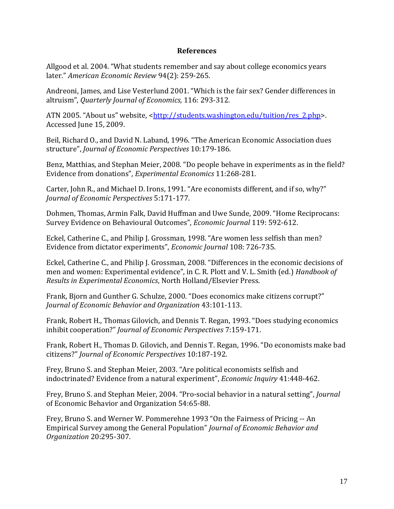### **References**

Allgood et al. 2004. "What students remember and say about college economics years later." *American Economic Review* 94(2): 259-265.

Andreoni, James, and Lise Vesterlund 2001. "Which is the fair sex? Gender differences in altruism", *Quarterly Journal of Economics,* 116: 293-312.

ATN 2005. "About us" website, <[http://students.washington.edu/tuition/res\\_2.php>](http://students.washington.edu/tuition/res_2.php). Accessed June 15, 2009.

Beil, Richard O., and David N. Laband, 1996. "The American Economic Association dues structure", *Journal of Economic Perspectives* 10:179-186.

Benz, Matthias, and Stephan Meier, 2008. "Do people behave in experiments as in the field? Evidence from donations", *Experimental Economics* 11:268-281.

Carter, John R., and Michael D. Irons, 1991. "Are economists different, and if so, why?" *Journal of Economic Perspectives* 5:171-177.

Dohmen, Thomas, Armin Falk, David Huffman and Uwe Sunde, 2009. "Home Reciprocans: Survey Evidence on Behavioural Outcomes", *Economic Journal* 119: 592-612.

Eckel, Catherine C., and Philip J. Grossman, 1998. "Are women less selfish than men? Evidence from dictator experiments", *Economic Journal* 108: 726-735.

Eckel, Catherine C., and Philip J. Grossman, 2008. "Differences in the economic decisions of men and women: Experimental evidence", in C. R. Plott and V. L. Smith (ed.) *Handbook of Results in Experimental Economics*, North Holland/Elsevier Press.

Frank, Bjorn and Gunther G. Schulze, 2000. "Does economics make citizens corrupt?" *Journal of Economic Behavior and Organization* 43:101-113.

Frank, Robert H., Thomas Gilovich, and Dennis T. Regan, 1993. "Does studying economics inhibit cooperation?" *Journal of Economic Perspectives* 7:159-171.

Frank, Robert H., Thomas D. Gilovich, and Dennis T. Regan, 1996. "Do economists make bad citizens?" *Journal of Economic Perspectives* 10:187-192.

Frey, Bruno S. and Stephan Meier, 2003. "Are political economists selfish and indoctrinated? Evidence from a natural experiment", *Economic Inquiry* 41:448-462.

Frey, Bruno S. and Stephan Meier, 2004. "Pro-social behavior in a natural setting", *Journal*  of Economic Behavior and Organization 54:65-88.

Frey, Bruno S. and Werner W. Pommerehne 1993 "On the Fairness of Pricing -- An Empirical Survey among the General Population" *Journal of Economic Behavior and Organization* 20:295-307.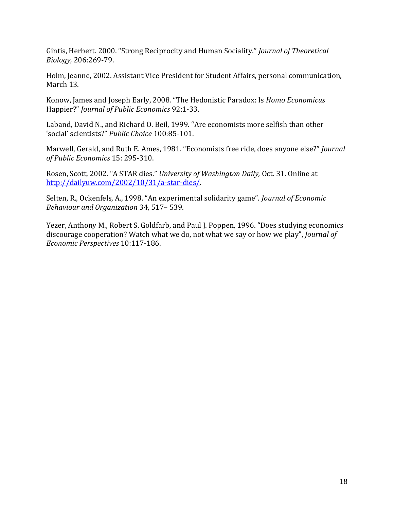Gintis, Herbert. 2000. "Strong Reciprocity and Human Sociality." *Journal of Theoretical Biology,* 206:269-79.

Holm, Jeanne, 2002. Assistant Vice President for Student Affairs, personal communication, March 13.

Konow, James and Joseph Early, 2008. "The Hedonistic Paradox: Is *Homo Economicus* Happier?" *Journal of Public Economics* 92:1-33.

Laband, David N., and Richard O. Beil, 1999. "Are economists more selfish than other 'social' scientists?" *Public Choice* 100:85-101.

Marwell, Gerald, and Ruth E. Ames, 1981. "Economists free ride, does anyone else?" *Journal of Public Economics* 15: 295-310.

Rosen, Scott, 2002. "A STAR dies." *University of Washington Daily,* Oct. 31. Online at [http://dailyuw.com/2002/10/31/a-star-dies/.](http://dailyuw.com/2002/10/31/a-star-dies/)

Selten, R., Ockenfels, A., 1998. "An experimental solidarity game". *Journal of Economic Behaviour and Organization* 34, 517– 539.

Yezer, Anthony M., Robert S. Goldfarb, and Paul J. Poppen, 1996. "Does studying economics discourage cooperation? Watch what we do, not what we say or how we play", *Journal of Economic Perspectives* 10:117-186.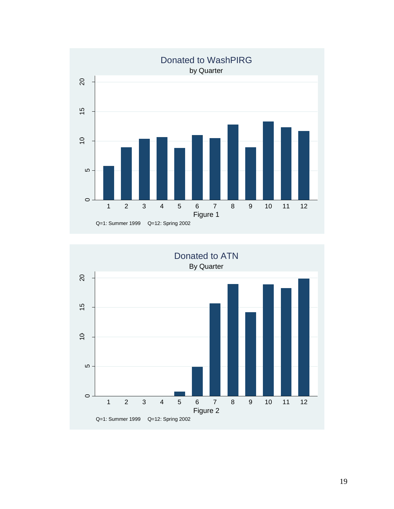

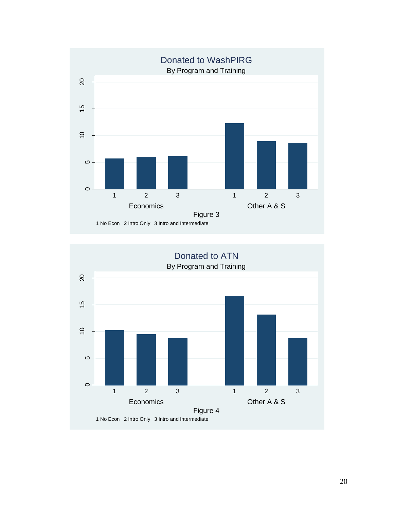

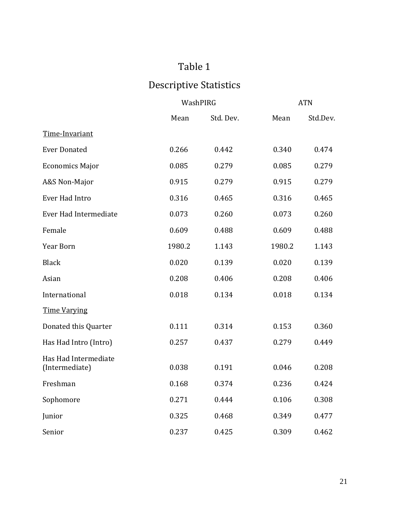# Table 1

# Descriptive Statistics

|                                        | WashPIRG |           | <b>ATN</b> |          |
|----------------------------------------|----------|-----------|------------|----------|
|                                        | Mean     | Std. Dev. | Mean       | Std.Dev. |
| Time-Invariant                         |          |           |            |          |
| <b>Ever Donated</b>                    | 0.266    | 0.442     | 0.340      | 0.474    |
| <b>Economics Major</b>                 | 0.085    | 0.279     | 0.085      | 0.279    |
| A&S Non-Major                          | 0.915    | 0.279     | 0.915      | 0.279    |
| Ever Had Intro                         | 0.316    | 0.465     | 0.316      | 0.465    |
| Ever Had Intermediate                  | 0.073    | 0.260     | 0.073      | 0.260    |
| Female                                 | 0.609    | 0.488     | 0.609      | 0.488    |
| Year Born                              | 1980.2   | 1.143     | 1980.2     | 1.143    |
| <b>Black</b>                           | 0.020    | 0.139     | 0.020      | 0.139    |
| Asian                                  | 0.208    | 0.406     | 0.208      | 0.406    |
| International                          | 0.018    | 0.134     | 0.018      | 0.134    |
| <b>Time Varying</b>                    |          |           |            |          |
| Donated this Quarter                   | 0.111    | 0.314     | 0.153      | 0.360    |
| Has Had Intro (Intro)                  | 0.257    | 0.437     | 0.279      | 0.449    |
| Has Had Intermediate<br>(Intermediate) | 0.038    | 0.191     | 0.046      | 0.208    |
| Freshman                               | 0.168    | 0.374     | 0.236      | 0.424    |
| Sophomore                              | 0.271    | 0.444     | 0.106      | 0.308    |
| Junior                                 | 0.325    | 0.468     | 0.349      | 0.477    |
| Senior                                 | 0.237    | 0.425     | 0.309      | 0.462    |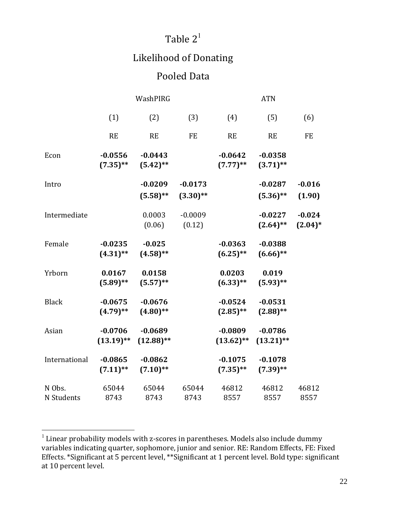## Table  $2<sup>1</sup>$

## Likelihood of Donating

## Pooled Data

|                      | WashPIRG                  |                           |                          | <b>ATN</b>                |                           |                        |  |
|----------------------|---------------------------|---------------------------|--------------------------|---------------------------|---------------------------|------------------------|--|
|                      | (1)                       | (2)                       | (3)                      | (4)                       | (5)                       | (6)                    |  |
|                      | <b>RE</b>                 | RE                        | <b>FE</b>                | <b>RE</b>                 | <b>RE</b>                 | <b>FE</b>              |  |
| Econ                 | $-0.0556$<br>$(7.35)$ **  | $-0.0443$<br>$(5.42)$ **  |                          | $-0.0642$<br>$(7.77)$ **  | $-0.0358$<br>$(3.71)$ **  |                        |  |
| Intro                |                           | $-0.0209$<br>$(5.58)$ **  | $-0.0173$<br>$(3.30)$ ** |                           | $-0.0287$<br>$(5.36)$ **  | $-0.016$<br>(1.90)     |  |
| Intermediate         |                           | 0.0003<br>(0.06)          | $-0.0009$<br>(0.12)      |                           | $-0.0227$<br>$(2.64)$ **  | $-0.024$<br>$(2.04)^*$ |  |
| Female               | $-0.0235$<br>$(4.31)$ **  | $-0.025$<br>$(4.58)$ **   |                          | $-0.0363$<br>$(6.25)$ **  | $-0.0388$<br>$(6.66)$ **  |                        |  |
| Yrborn               | 0.0167<br>$(5.89)$ **     | 0.0158<br>$(5.57)$ **     |                          | 0.0203<br>$(6.33)$ **     | 0.019<br>$(5.93)$ **      |                        |  |
| <b>Black</b>         | $-0.0675$<br>$(4.79)$ **  | $-0.0676$<br>$(4.80)$ **  |                          | $-0.0524$<br>$(2.85)$ **  | $-0.0531$<br>$(2.88)$ **  |                        |  |
| Asian                | $-0.0706$<br>$(13.19)$ ** | $-0.0689$<br>$(12.88)$ ** |                          | $-0.0809$<br>$(13.62)$ ** | $-0.0786$<br>$(13.21)$ ** |                        |  |
| International        | $-0.0865$<br>$(7.11)$ **  | $-0.0862$<br>$(7.10)$ **  |                          | $-0.1075$<br>$(7.35)$ **  | $-0.1078$<br>$(7.39)$ **  |                        |  |
| N Obs.<br>N Students | 65044<br>8743             | 65044<br>8743             | 65044<br>8743            | 46812<br>8557             | 46812<br>8557             | 46812<br>8557          |  |

 $\overline{a}$ 

 $1$  Linear probability models with z-scores in parentheses. Models also include dummy variables indicating quarter, sophomore, junior and senior. RE: Random Effects, FE: Fixed Effects. \*Significant at 5 percent level, \*\*Significant at 1 percent level. Bold type: significant at 10 percent level.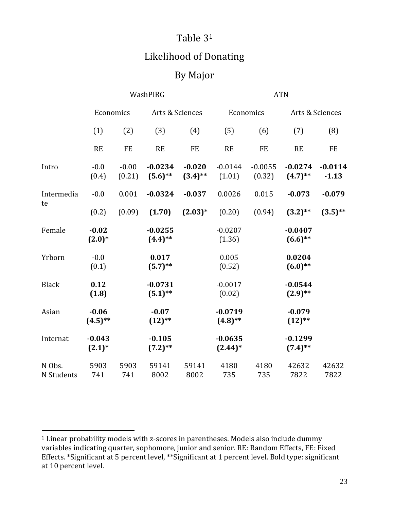## Table 3<sup>1</sup>

## Likelihood of Donating

## By Major

|                      | WashPIRG              |                   |                         |                        | <b>ATN</b>              |                     |                         |                      |
|----------------------|-----------------------|-------------------|-------------------------|------------------------|-------------------------|---------------------|-------------------------|----------------------|
|                      | Economics             |                   | Arts & Sciences         |                        | Economics               |                     | Arts & Sciences         |                      |
|                      | (1)                   | (2)               | (3)                     | (4)                    | (5)                     | (6)                 | (7)                     | (8)                  |
|                      | RE                    | <b>FE</b>         | <b>RE</b>               | <b>FE</b>              | RE                      | <b>FE</b>           | <b>RE</b>               | <b>FE</b>            |
| Intro                | $-0.0$<br>(0.4)       | $-0.00$<br>(0.21) | $-0.0234$<br>$(5.6)$ ** | $-0.020$<br>$(3.4)$ ** | $-0.0144$<br>(1.01)     | $-0.0055$<br>(0.32) | $-0.0274$<br>$(4.7)$ ** | $-0.0114$<br>$-1.13$ |
| Intermedia<br>te     | $-0.0$                | 0.001             | $-0.0324$               | $-0.037$               | 0.0026                  | 0.015               | $-0.073$                | $-0.079$             |
|                      | (0.2)                 | (0.09)            | (1.70)                  | $(2.03)*$              | (0.20)                  | (0.94)              | $(3.2)$ **              | $(3.5)$ **           |
| Female               | $-0.02$<br>$(2.0)*$   |                   | $-0.0255$<br>$(4.4)$ ** |                        | $-0.0207$<br>(1.36)     |                     | $-0.0407$<br>$(6.6)$ ** |                      |
| Yrborn               | $-0.0$<br>(0.1)       |                   | 0.017<br>$(5.7)$ **     |                        | 0.005<br>(0.52)         |                     | 0.0204<br>$(6.0)$ **    |                      |
| <b>Black</b>         | 0.12<br>(1.8)         |                   | $-0.0731$<br>$(5.1)$ ** |                        | $-0.0017$<br>(0.02)     |                     | $-0.0544$<br>$(2.9)$ ** |                      |
| Asian                | $-0.06$<br>$(4.5)$ ** |                   | $-0.07$<br>$(12)$ **    |                        | $-0.0719$<br>$(4.8)$ ** |                     | $-0.079$<br>$(12)$ **   |                      |
| Internat             | $-0.043$<br>$(2.1)^*$ |                   | $-0.105$<br>$(7.2)$ **  |                        | $-0.0635$<br>$(2.44)^*$ |                     | $-0.1299$<br>$(7.4)$ ** |                      |
| N Obs.<br>N Students | 5903<br>741           | 5903<br>741       | 59141<br>8002           | 59141<br>8002          | 4180<br>735             | 4180<br>735         | 42632<br>7822           | 42632<br>7822        |

l

<sup>&</sup>lt;sup>1</sup> Linear probability models with z-scores in parentheses. Models also include dummy variables indicating quarter, sophomore, junior and senior. RE: Random Effects, FE: Fixed Effects. \*Significant at 5 percent level, \*\*Significant at 1 percent level. Bold type: significant at 10 percent level.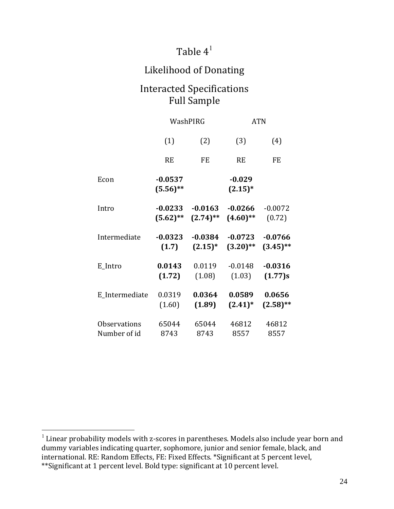## Table  $4^1$

## Likelihood of Donating

### Interacted Specifications Full Sample

|                     | WashPIRG                 |             | <b>ATN</b>             |             |
|---------------------|--------------------------|-------------|------------------------|-------------|
|                     | (1)                      | (2)         | (3)                    | (4)         |
|                     | <b>RE</b>                | <b>FE</b>   | <b>RE</b>              | <b>FE</b>   |
| Econ                | $-0.0537$<br>$(5.56)$ ** |             | $-0.029$<br>$(2.15)^*$ |             |
| Intro               | $-0.0233$                | $-0.0163$   | $-0.0266$              | $-0.0072$   |
|                     | $(5.62)$ **              | $(2.74)$ ** | $(4.60)$ **            | (0.72)      |
| Intermediate        | $-0.0323$                | $-0.0384$   | $-0.0723$              | $-0.0766$   |
|                     | (1.7)                    | $(2.15)^*$  | $(3.20)$ **            | $(3.45)$ ** |
| E_Intro             | 0.0143                   | 0.0119      | $-0.0148$              | $-0.0316$   |
|                     | (1.72)                   | (1.08)      | (1.03)                 | (1.77)s     |
| E_Intermediate      | 0.0319                   | 0.0364      | 0.0589                 | 0.0656      |
|                     | (1.60)                   | (1.89)      | $(2.41)^*$             | $(2.58)$ ** |
| <b>Observations</b> | 65044                    | 65044       | 46812                  | 46812       |
| Number of id        | 8743                     | 8743        | 8557                   | 8557        |

 $\overline{a}$ 

 $1$  Linear probability models with z-scores in parentheses. Models also include year born and dummy variables indicating quarter, sophomore, junior and senior female, black, and international. RE: Random Effects, FE: Fixed Effects. \*Significant at 5 percent level, \*\*Significant at 1 percent level. Bold type: significant at 10 percent level.